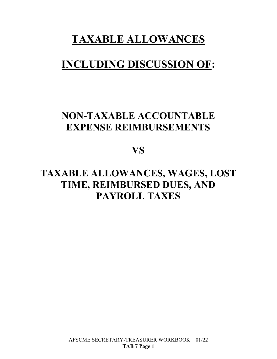# **TAXABLE ALLOWANCES**

## **INCLUDING DISCUSSION OF:**

## **NON-TAXABLE ACCOUNTABLE EXPENSE REIMBURSEMENTS**

**VS**

## **TAXABLE ALLOWANCES, WAGES, LOST TIME, REIMBURSED DUES, AND PAYROLL TAXES**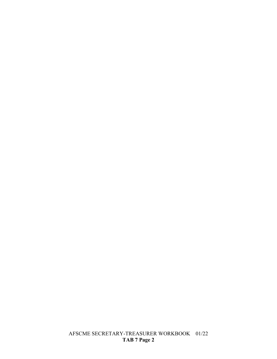AFSCME SECRETARY-TREASURER WORKBOOK 01/22 **TAB 7 Page 2**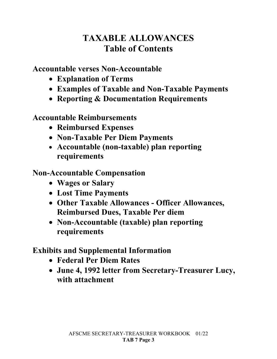## **TAXABLE ALLOWANCES Table of Contents**

**Accountable verses Non-Accountable**

- **Explanation of Terms**
- **Examples of Taxable and Non-Taxable Payments**
- **Reporting & Documentation Requirements**

**Accountable Reimbursements**

- **Reimbursed Expenses**
- **Non-Taxable Per Diem Payments**
- **Accountable (non-taxable) plan reporting requirements**

**Non-Accountable Compensation**

- **Wages or Salary**
- **Lost Time Payments**
- **Other Taxable Allowances - Officer Allowances, Reimbursed Dues, Taxable Per diem**
- **Non-Accountable (taxable) plan reporting requirements**

## **Exhibits and Supplemental Information**

- **Federal Per Diem Rates**
- **June 4, 1992 letter from Secretary-Treasurer Lucy, with attachment**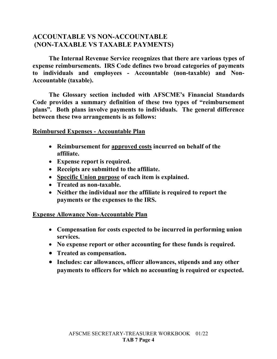## **ACCOUNTABLE VS NON-ACCOUNTABLE (NON-TAXABLE VS TAXABLE PAYMENTS)**

**The Internal Revenue Service recognizes that there are various types of expense reimbursements. IRS Code defines two broad categories of payments to individuals and employees - Accountable (non-taxable) and Non-Accountable (taxable).**

**The Glossary section included with AFSCME's Financial Standards Code provides a summary definition of these two types of "reimbursement plans". Both plans involve payments to individuals. The general difference between these two arrangements is as follows:**

### **Reimbursed Expenses - Accountable Plan**

- **Reimbursement for approved costs incurred on behalf of the affiliate.**
- **Expense report is required.**
- **Receipts are submitted to the affiliate.**
- **Specific Union purpose of each item is explained.**
- **Treated as non-taxable.**
- **Neither the individual nor the affiliate is required to report the payments or the expenses to the IRS.**

### **Expense Allowance Non-Accountable Plan**

- **Compensation for costs expected to be incurred in performing union services.**
- **No expense report or other accounting for these funds is required.**
- **Treated as compensation.**
- **Includes: car allowances, officer allowances, stipends and any other payments to officers for which no accounting is required or expected.**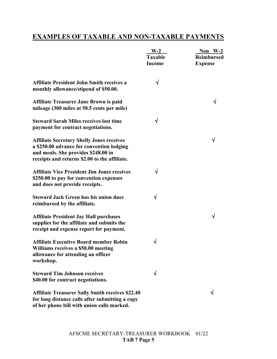## **EXAMPLES OF TAXABLE AND NON-TAXABLE PAYMENTS**

|                                                                                                                                                                                       | $W-2$<br><b>Taxable</b><br><b>Income</b> | Non $W-2$<br><b>Reimbursed</b><br><b>Expense</b> |
|---------------------------------------------------------------------------------------------------------------------------------------------------------------------------------------|------------------------------------------|--------------------------------------------------|
| <b>Affiliate President John Smith receives a</b><br>monthly allowance/stipend of \$50.00.                                                                                             | $\sqrt{}$                                |                                                  |
| <b>Affiliate Treasurer Jane Brown is paid</b><br>mileage (300 miles at 58.5 cents per mile)                                                                                           |                                          | ิง                                               |
| <b>Steward Sarah Miles receives lost time</b><br>payment for contract negotiations.                                                                                                   | √                                        |                                                  |
| <b>Affiliate Secretary Shelly Jones receives</b><br>a \$250.00 advance for convention lodging<br>and meals. She provides \$248.00 in<br>receipts and returns \$2.00 to the affiliate. |                                          | ٦J                                               |
| <b>Affiliate Vice President Jim Jones receives</b><br>\$250.00 to pay for convention expenses<br>and does not provide receipts.                                                       | $\sqrt{}$                                |                                                  |
| <b>Steward Jack Green has his union dues</b><br>reimbursed by the affiliate.                                                                                                          | $\sqrt{}$                                |                                                  |
| <b>Affiliate President Jay Hall purchases</b><br>supplies for the affiliate and submits the<br>receipt and expense report for payment.                                                |                                          | N                                                |
| <b>Affiliate Executive Board member Robin</b><br>Williams receives a \$50.00 meeting<br>allowance for attending an officer<br>workshop.                                               | ٦                                        |                                                  |
| <b>Steward Tim Johnson receives</b><br>\$40.00 for contract negotiations.                                                                                                             | N                                        |                                                  |
| <b>Affiliate Treasurer Sally Smith receives \$22.40</b><br>for long distance calls after submitting a copy<br>of her phone bill with union calls marked.                              |                                          | V                                                |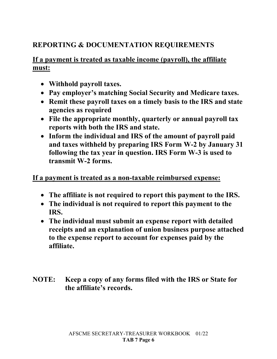## **REPORTING & DOCUMENTATION REQUIREMENTS**

## **If a payment is treated as taxable income (payroll), the affiliate must:**

- **Withhold payroll taxes.**
- **Pay employer's matching Social Security and Medicare taxes.**
- **Remit these payroll taxes on a timely basis to the IRS and state agencies as required**
- **File the appropriate monthly, quarterly or annual payroll tax reports with both the IRS and state.**
- **Inform the individual and IRS of the amount of payroll paid and taxes withheld by preparing IRS Form W-2 by January 31 following the tax year in question. IRS Form W-3 is used to transmit W-2 forms.**

## **If a payment is treated as a non-taxable reimbursed expense:**

- **The affiliate is not required to report this payment to the IRS.**
- **The individual is not required to report this payment to the IRS.**
- **The individual must submit an expense report with detailed receipts and an explanation of union business purpose attached to the expense report to account for expenses paid by the affiliate.**
- **NOTE: Keep a copy of any forms filed with the IRS or State for the affiliate's records.**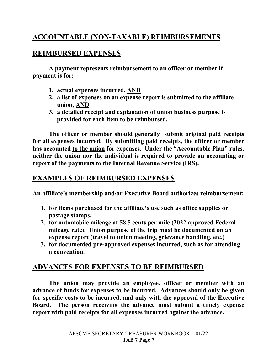## **ACCOUNTABLE (NON-TAXABLE) REIMBURSEMENTS**

## **REIMBURSED EXPENSES**

**A payment represents reimbursement to an officer or member if payment is for:**

- **1. actual expenses incurred, AND**
- **2. a list of expenses on an expense report is submitted to the affiliate union, AND**
- **3. a detailed receipt and explanation of union business purpose is provided for each item to be reimbursed.**

**The officer or member should generally submit original paid receipts for all expenses incurred. By submitting paid receipts, the officer or member has accounted to the union for expenses. Under the "Accountable Plan" rules, neither the union nor the individual is required to provide an accounting or report of the payments to the Internal Revenue Service (IRS).**

## **EXAMPLES OF REIMBURSED EXPENSES**

**An affiliate's membership and/or Executive Board authorizes reimbursement:**

- **1. for items purchased for the affiliate's use such as office supplies or postage stamps.**
- **2. for automobile mileage at 58.5 cents per mile (2022 approved Federal mileage rate). Union purpose of the trip must be documented on an expense report (travel to union meeting, grievance handling, etc.)**
- **3. for documented pre-approved expenses incurred, such as for attending a convention.**

## **ADVANCES FOR EXPENSES TO BE REIMBURSED**

**The union may provide an employee, officer or member with an advance of funds for expenses to be incurred. Advances should only be given for specific costs to be incurred, and only with the approval of the Executive Board. The person receiving the advance must submit a timely expense report with paid receipts for all expenses incurred against the advance.**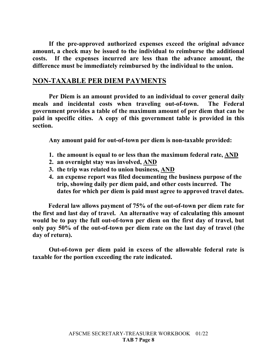**If the pre-approved authorized expenses exceed the original advance amount, a check may be issued to the individual to reimburse the additional costs. If the expenses incurred are less than the advance amount, the difference must be immediately reimbursed by the individual to the union.**

## **NON-TAXABLE PER DIEM PAYMENTS**

**Per Diem is an amount provided to an individual to cover general daily meals and incidental costs when traveling out-of-town. The Federal government provides a table of the maximum amount of per diem that can be paid in specific cities. A copy of this government table is provided in this section.** 

**Any amount paid for out-of-town per diem is non-taxable provided:**

- **1. the amount is equal to or less than the maximum federal rate, AND**
- **2. an overnight stay was involved, AND**
- **3. the trip was related to union business, AND**
- **4. an expense report was filed documenting the business purpose of the trip, showing daily per diem paid, and other costs incurred. The dates for which per diem is paid must agree to approved travel dates.**

 **Federal law allows payment of 75% of the out-of-town per diem rate for the first and last day of travel. An alternative way of calculating this amount would be to pay the full out-of-town per diem on the first day of travel, but only pay 50% of the out-of-town per diem rate on the last day of travel (the day of return).**

**Out-of-town per diem paid in excess of the allowable federal rate is taxable for the portion exceeding the rate indicated.**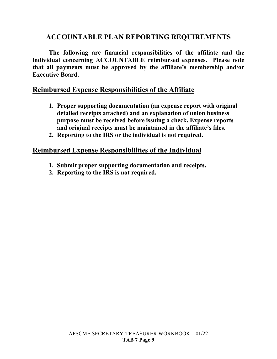## **ACCOUNTABLE PLAN REPORTING REQUIREMENTS**

**The following are financial responsibilities of the affiliate and the individual concerning ACCOUNTABLE reimbursed expenses. Please note that all payments must be approved by the affiliate's membership and/or Executive Board.**

## **Reimbursed Expense Responsibilities of the Affiliate**

- **1. Proper supporting documentation (an expense report with original detailed receipts attached) and an explanation of union business purpose must be received before issuing a check. Expense reports and original receipts must be maintained in the affiliate's files.**
- **2. Reporting to the IRS or the individual is not required.**

## **Reimbursed Expense Responsibilities of the Individual**

- **1. Submit proper supporting documentation and receipts.**
- **2. Reporting to the IRS is not required.**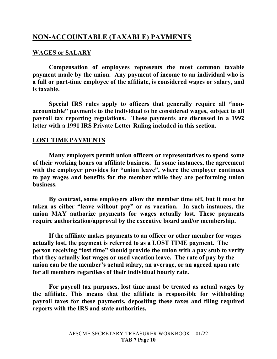## **NON-ACCOUNTABLE (TAXABLE) PAYMENTS**

### **WAGES or SALARY**

**Compensation of employees represents the most common taxable payment made by the union. Any payment of income to an individual who is a full or part-time employee of the affiliate, is considered wages or salary, and is taxable.** 

**Special IRS rules apply to officers that generally require all "nonaccountable" payments to the individual to be considered wages, subject to all payroll tax reporting regulations. These payments are discussed in a 1992 letter with a 1991 IRS Private Letter Ruling included in this section.** 

## **LOST TIME PAYMENTS**

**Many employers permit union officers or representatives to spend some of their working hours on affiliate business. In some instances, the agreement with the employer provides for "union leave", where the employer continues to pay wages and benefits for the member while they are performing union business.**

**By contrast, some employers allow the member time off, but it must be taken as either "leave without pay" or as vacation. In such instances, the union MAY authorize payments for wages actually lost. These payments require authorization/approval by the executive board and/or membership.** 

**If the affiliate makes payments to an officer or other member for wages actually lost, the payment is referred to as a LOST TIME payment. The person receiving "lost time" should provide the union with a pay stub to verify that they actually lost wages or used vacation leave. The rate of pay by the union can be the member's actual salary, an average, or an agreed upon rate for all members regardless of their individual hourly rate.**

**For payroll tax purposes, lost time must be treated as actual wages by the affiliate. This means that the affiliate is responsible for withholding payroll taxes for these payments, depositing these taxes and filing required reports with the IRS and state authorities.**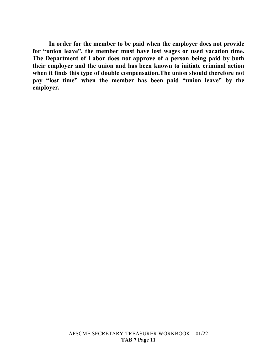**In order for the member to be paid when the employer does not provide for "union leave", the member must have lost wages or used vacation time. The Department of Labor does not approve of a person being paid by both their employer and the union and has been known to initiate criminal action when it finds this type of double compensation.The union should therefore not pay "lost time" when the member has been paid "union leave" by the employer.**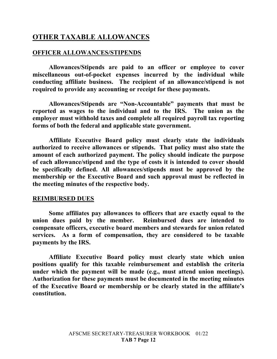## **OTHER TAXABLE ALLOWANCES**

#### **OFFICER ALLOWANCES/STIPENDS**

**Allowances/Stipends are paid to an officer or employee to cover miscellaneous out-of-pocket expenses incurred by the individual while conducting affiliate business. The recipient of an allowance/stipend is not required to provide any accounting or receipt for these payments.** 

**Allowances/Stipends are "Non-Accountable" payments that must be reported as wages to the individual and to the IRS. The union as the employer must withhold taxes and complete all required payroll tax reporting forms of both the federal and applicable state government.**

**Affiliate Executive Board policy must clearly state the individuals authorized to receive allowances or stipends. That policy must also state the amount of each authorized payment. The policy should indicate the purpose of each allowance/stipend and the type of costs it is intended to cover should be specifically defined. All allowances/stipends must be approved by the membership or the Executive Board and such approval must be reflected in the meeting minutes of the respective body.**

#### **REIMBURSED DUES**

**Some affiliates pay allowances to officers that are exactly equal to the union dues paid by the member. Reimbursed dues are intended to compensate officers, executive board members and stewards for union related services. As a form of compensation, they are considered to be taxable payments by the IRS.** 

**Affiliate Executive Board policy must clearly state which union positions qualify for this taxable reimbursement and establish the criteria under which the payment will be made (e.g., must attend union meetings). Authorization for these payments must be documented in the meeting minutes of the Executive Board or membership or be clearly stated in the affiliate's constitution.**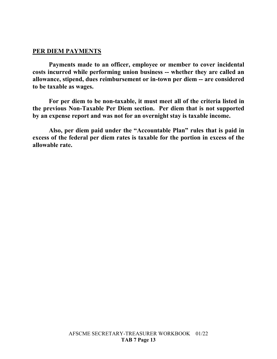#### **PER DIEM PAYMENTS**

**Payments made to an officer, employee or member to cover incidental costs incurred while performing union business -- whether they are called an allowance, stipend, dues reimbursement or in-town per diem -- are considered to be taxable as wages.**

**For per diem to be non-taxable, it must meet all of the criteria listed in the previous Non-Taxable Per Diem section. Per diem that is not supported by an expense report and was not for an overnight stay is taxable income.** 

**Also, per diem paid under the "Accountable Plan" rules that is paid in excess of the federal per diem rates is taxable for the portion in excess of the allowable rate.**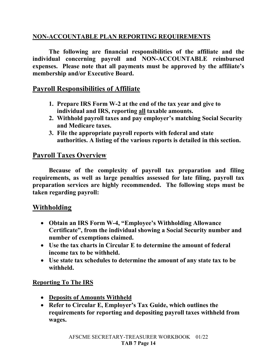## **NON-ACCOUNTABLE PLAN REPORTING REQUIREMENTS**

**The following are financial responsibilities of the affiliate and the individual concerning payroll and NON-ACCOUNTABLE reimbursed expenses. Please note that all payments must be approved by the affiliate's membership and/or Executive Board.**

## **Payroll Responsibilities of Affiliate**

- **1. Prepare IRS Form W-2 at the end of the tax year and give to individual and IRS, reporting all taxable amounts.**
- **2. Withhold payroll taxes and pay employer's matching Social Security and Medicare taxes.**
- **3. File the appropriate payroll reports with federal and state authorities. A listing of the various reports is detailed in this section.**

## **Payroll Taxes Overview**

**Because of the complexity of payroll tax preparation and filing requirements, as well as large penalties assessed for late filing, payroll tax preparation services are highly recommended. The following steps must be taken regarding payroll:**

## **Withholding**

- **Obtain an IRS Form W-4, "Employee's Withholding Allowance Certificate", from the individual showing a Social Security number and number of exemptions claimed.**
- **Use the tax charts in Circular E to determine the amount of federal income tax to be withheld.**
- **Use state tax schedules to determine the amount of any state tax to be withheld.**

### **Reporting To The IRS**

- **Deposits of Amounts Withheld**
- **Refer to Circular E, Employer's Tax Guide, which outlines the requirements for reporting and depositing payroll taxes withheld from wages.**